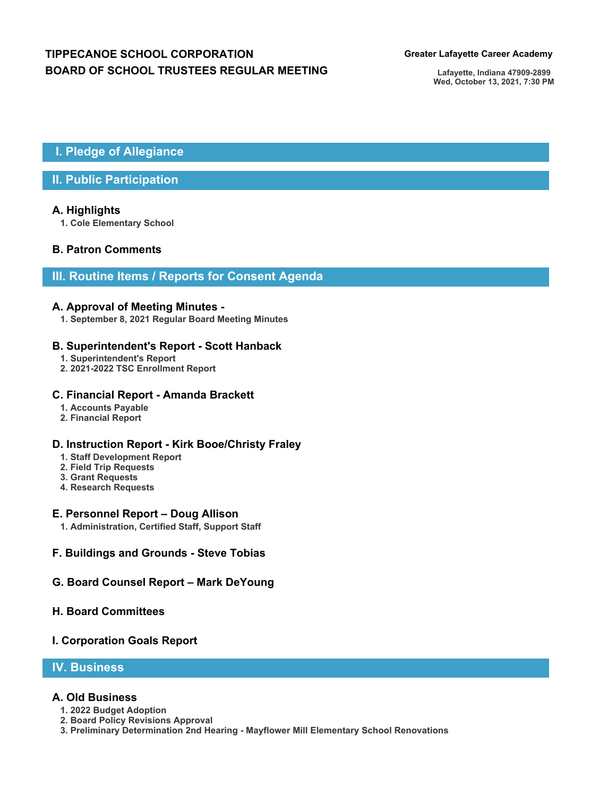# **TIPPECANOE SCHOOL CORPORATION Greater Lafayette Career Academy BOARD OF SCHOOL TRUSTEES REGULAR MEETING**

**Lafayette, Indiana 47909-2899 Wed, October 13, 2021, 7:30 PM**

# **I. Pledge of Allegiance**

## **II. Public Participation**

#### **A. Highlights**

**1. Cole Elementary School**

### **B. Patron Comments**

## **III. Routine Items / Reports for Consent Agenda**

#### **A. Approval of Meeting Minutes -**

**1. September 8, 2021 Regular Board Meeting Minutes**

#### **B. Superintendent's Report - Scott Hanback**

- **1. Superintendent's Report**
- **2. 2021-2022 TSC Enrollment Report**

#### **C. Financial Report - Amanda Brackett**

- **1. Accounts Payable**
- **2. Financial Report**

### **D. Instruction Report - Kirk Booe/Christy Fraley**

- **1. Staff Development Report**
- **2. Field Trip Requests**
- **3. Grant Requests**
- **4. Research Requests**

#### **E. Personnel Report – Doug Allison**

- **1. Administration, Certified Staff, Support Staff**
- **F. Buildings and Grounds Steve Tobias**
- **G. Board Counsel Report Mark DeYoung**

#### **H. Board Committees**

#### **I. Corporation Goals Report**

## **IV. Business**

#### **A. Old Business**

- **1. 2022 Budget Adoption**
- **2. Board Policy Revisions Approval**
- **3. Preliminary Determination 2nd Hearing Mayflower Mill Elementary School Renovations**